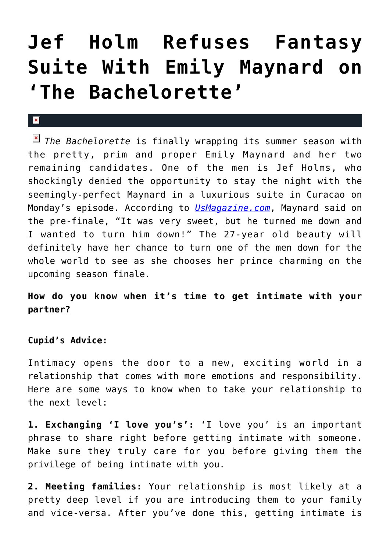## **[Jef Holm Refuses Fantasy](https://cupidspulse.com/34728/jef-holm-refuses-fantasy-suite-emily-maynard-bachelorette/) [Suite With Emily Maynard on](https://cupidspulse.com/34728/jef-holm-refuses-fantasy-suite-emily-maynard-bachelorette/) ['The Bachelorette'](https://cupidspulse.com/34728/jef-holm-refuses-fantasy-suite-emily-maynard-bachelorette/)**

*The Bachelorette* is finally wrapping its summer season with the pretty, prim and proper Emily Maynard and her two remaining candidates. One of the men is Jef Holms, who shockingly denied the opportunity to stay the night with the seemingly-perfect Maynard in a luxurious suite in Curacao on Monday's episode. According to *[UsMagazine.com](http://www.usmagazine.com/entertainment/news/bachelorette-jef-holm-refuses-emily-maynards-fantasy-suite-invitation-2012107)*, Maynard said on the pre-finale, "It was very sweet, but he turned me down and I wanted to turn him down!" The 27-year old beauty will definitely have her chance to turn one of the men down for the whole world to see as she chooses her prince charming on the upcoming season finale.

**How do you know when it's time to get intimate with your partner?**

## **Cupid's Advice:**

 $\mathbf{x}$ 

Intimacy opens the door to a new, exciting world in a relationship that comes with more emotions and responsibility. Here are some ways to know when to take your relationship to the next level:

**1. Exchanging 'I love you's':** 'I love you' is an important phrase to share right before getting intimate with someone. Make sure they truly care for you before giving them the privilege of being intimate with you.

**2. Meeting families:** Your relationship is most likely at a pretty deep level if you are introducing them to your family and vice-versa. After you've done this, getting intimate is